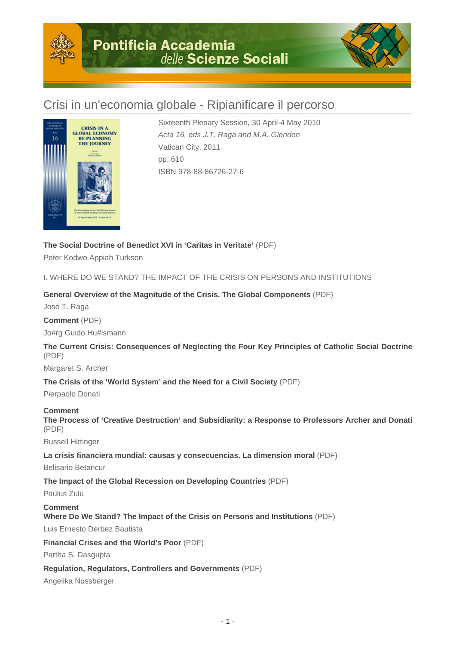

# Crisi in un'economia globale - Ripianificare il percorso



Sixteenth Plenary Session, 30 April-4 May 2010 Acta 16, eds J.T. Raga and M.A. Glendon Vatican City, 2011 pp. 610 ISBN 978-88-86726-27-6

## **The Social Doctrine of Benedict XVI in 'Caritas in Veritate'** (PDF)

Peter Kodwo Appiah Turkson

I. WHERE DO WE STAND? THE IMPACT OF THE CRISIS ON PERSONS AND INSTITUTIONS

## **General Overview of the Magnitude of the Crisis. The Global Components** (PDF)

José T. Raga

**Comment** (PDF)

Jo#rg Guido Hu#lsmann

**The Current Crisis: Consequences of Neglecting the Four Key Principles of Catholic Social Doctrine** (PDF)

Margaret S. Archer

**The Crisis of the 'World System' and the Need for a Civil Society** (PDF)

Pierpaolo Donati

#### **Comment**

**The Process of 'Creative Destruction' and Subsidiarity: a Response to Professors Archer and Donati** (PDF)

Russell Hittinger

**La crisis financiera mundial: causas y consecuencias. La dimension moral** (PDF)

Belisario Betancur

**The Impact of the Global Recession on Developing Countries** (PDF)

Paulus Zulu

#### **Comment Where Do We Stand? The Impact of the Crisis on Persons and Institutions** (PDF)

Luis Ernesto Derbez Bautista

**Financial Crises and the World's Poor** (PDF)

Partha S. Dasgupta

**Regulation, Regulators, Controllers and Governments** (PDF)

Angelika Nussberger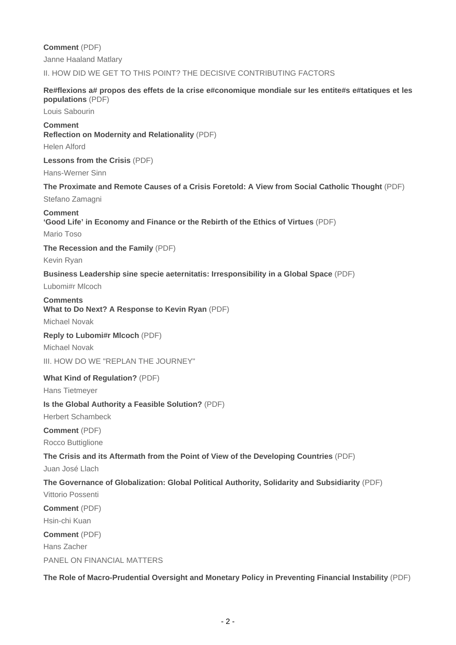**Comment** (PDF) Janne Haaland Matlary

II. HOW DID WE GET TO THIS POINT? THE DECISIVE CONTRIBUTING FACTORS

#### **Re#flexions a# propos des effets de la crise e#conomique mondiale sur les entite#s e#tatiques et les populations** (PDF)

Louis Sabourin

## **Comment**

**Reflection on Modernity and Relationality** (PDF)

Helen Alford

#### **Lessons from the Crisis** (PDF)

Hans-Werner Sinn

## **The Proximate and Remote Causes of a Crisis Foretold: A View from Social Catholic Thought** (PDF) Stefano Zamagni

## **Comment 'Good Life' in Economy and Finance or the Rebirth of the Ethics of Virtues** (PDF)

Mario Toso

**The Recession and the Family** (PDF)

Kevin Ryan

#### **Business Leadership sine specie aeternitatis: Irresponsibility in a Global Space** (PDF)

Lubomi#r Mlcoch

## **Comments What to Do Next? A Response to Kevin Ryan** (PDF)

Michael Novak

#### **Reply to Lubomi#r Mlcoch** (PDF)

Michael Novak

III. HOW DO WE "REPLAN THE JOURNEY"

#### **What Kind of Regulation?** (PDF)

Hans Tietmeyer

#### **Is the Global Authority a Feasible Solution?** (PDF)

Herbert Schambeck

#### **Comment** (PDF) Rocco Buttiglione

**The Crisis and its Aftermath from the Point of View of the Developing Countries** (PDF)

Juan José Llach

## **The Governance of Globalization: Global Political Authority, Solidarity and Subsidiarity** (PDF)

Vittorio Possenti **Comment** (PDF) Hsin-chi Kuan **Comment** (PDF) Hans Zacher PANEL ON FINANCIAL MATTERS

**The Role of Macro-Prudential Oversight and Monetary Policy in Preventing Financial Instability** (PDF)